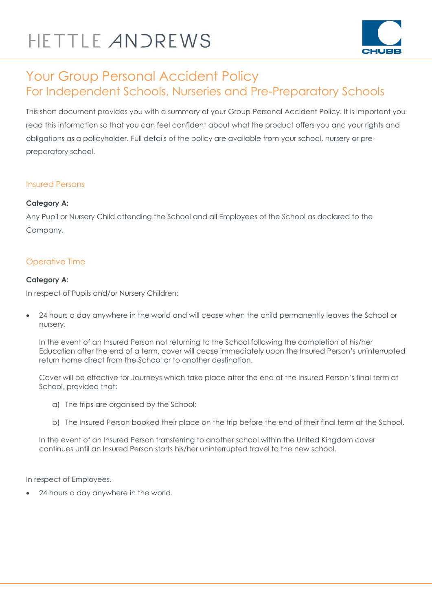# HETTLE ANDREWS



### Your Group Personal Accident Policy For Independent Schools, Nurseries and Pre-Preparatory Schools

This short document provides you with a summary of your Group Personal Accident Policy. It is important you read this information so that you can feel confident about what the product offers you and your rights and obligations as a policyholder. Full details of the policy are available from your school, nursery or prepreparatory school.

#### Insured Persons

#### **Category A:**

Any Pupil or Nursery Child attending the School and all Employees of the School as declared to the Company.

#### Operative Time

#### **Category A:**

In respect of Pupils and/or Nursery Children:

 24 hours a day anywhere in the world and will cease when the child permanently leaves the School or nursery.

In the event of an Insured Person not returning to the School following the completion of his/her Education after the end of a term, cover will cease immediately upon the Insured Person's uninterrupted return home direct from the School or to another destination.

Cover will be effective for Journeys which take place after the end of the Insured Person's final term at School, provided that:

- a) The trips are organised by the School;
- b) The Insured Person booked their place on the trip before the end of their final term at the School.

In the event of an Insured Person transferring to another school within the United Kingdom cover continues until an Insured Person starts his/her uninterrupted travel to the new school.

In respect of Employees.

24 hours a day anywhere in the world.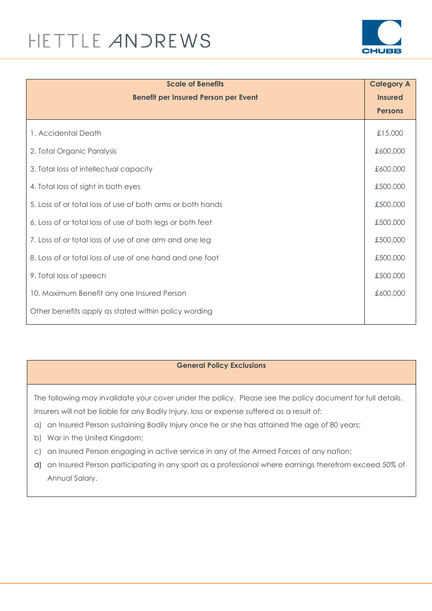# HETTLE ANDREWS



| <b>Scale of Benefits</b>                                   | <b>Category A</b> |
|------------------------------------------------------------|-------------------|
| <b>Benefit per Insured Person per Event</b>                | <b>Insured</b>    |
|                                                            | <b>Persons</b>    |
| 1. Accidental Death                                        | £15,000           |
| 2. Total Organic Paralysis                                 | £600,000          |
| 3. Total loss of intellectual capacity                     | £600,000          |
| 4. Total loss of sight in both eyes                        | £500,000          |
| 5. Loss of or total loss of use of both arms or both hands | £500,000          |
| 6. Loss of or total loss of use of both legs or both feet  | £500,000          |
| 7. Loss of or total loss of use of one arm and one leg     | £500,000          |
| 8. Loss of or total loss of use of one hand and one foot   | £500,000          |
| 9. Total loss of speech                                    | £500,000          |
| 10. Maximum Benefit any one Insured Person                 | £600,000          |
| Other benefits apply as stated within policy wording       |                   |

#### **General Policy Exclusions**

The following may invalidate your cover under the policy. Please see the policy document for full details. Insurers will not be liable for any Bodily Injury, loss or expense suffered as a result of:

- a) an Insured Person sustaining Bodily Injury once he or she has attained the age of 80 years;
- b) War in the United Kingdom;
- c) an Insured Person engaging in active service in any of the Armed Forces of any nation;
- d) an Insured Person participating in any sport as a professional where earnings therefrom exceed 50% of Annual Salary.